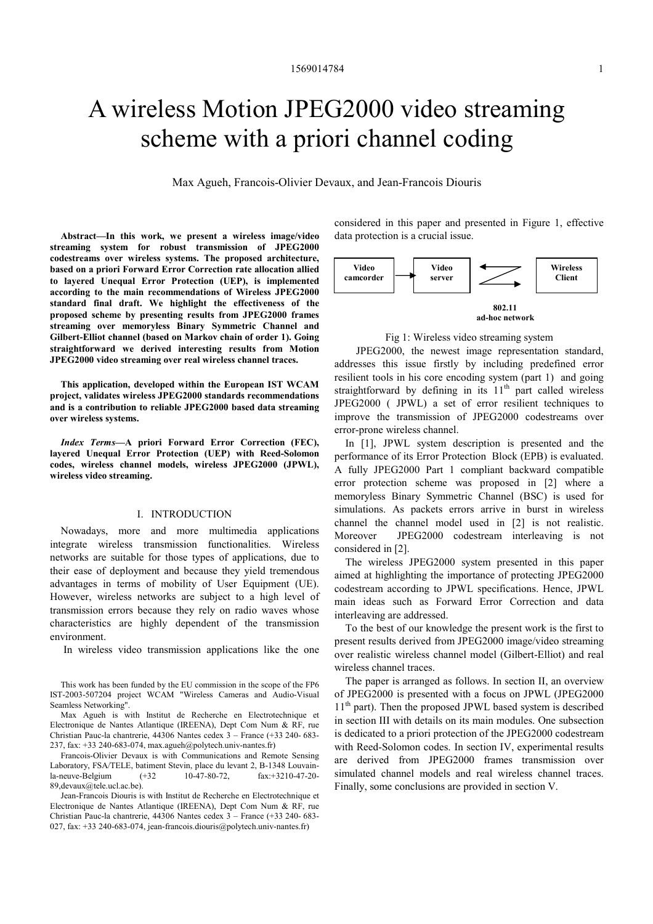# A wireless Motion JPEG2000 video streaming scheme with a priori channel coding

Max Agueh, Francois-Olivier Devaux, and Jean-Francois Diouris

Abstract—In this work, we present a wireless image/video streaming system for robust transmission of JPEG2000 codestreams over wireless systems. The proposed architecture, based on a priori Forward Error Correction rate allocation allied to layered Unequal Error Protection (UEP), is implemented according to the main recommendations of Wireless JPEG2000 standard final draft. We highlight the effectiveness of the proposed scheme by presenting results from JPEG2000 frames streaming over memoryless Binary Symmetric Channel and Gilbert-Elliot channel (based on Markov chain of order 1). Going straightforward we derived interesting results from Motion JPEG2000 video streaming over real wireless channel traces.

This application, developed within the European IST WCAM project, validates wireless JPEG2000 standards recommendations and is a contribution to reliable JPEG2000 based data streaming over wireless systems.

Index Terms—A priori Forward Error Correction (FEC), layered Unequal Error Protection (UEP) with Reed-Solomon codes, wireless channel models, wireless JPEG2000 (JPWL), wireless video streaming.

## I. INTRODUCTION

Nowadays, more and more multimedia applications integrate wireless transmission functionalities. Wireless networks are suitable for those types of applications, due to their ease of deployment and because they yield tremendous advantages in terms of mobility of User Equipment (UE). However, wireless networks are subject to a high level of transmission errors because they rely on radio waves whose characteristics are highly dependent of the transmission environment.

In wireless video transmission applications like the one

Francois-Olivier Devaux is with Communications and Remote Sensing Laboratory, FSA/TELE, batiment Stevin, place du levant 2, B-1348 Louvain-<br>
la-neuve-Belgium (+32 10-47-80-72, fax:+3210-47-20la-neuve-Belgium (+32 10-47-80-72, fax:+3210-47-20- 89,devaux@tele.ucl.ac.be).

Jean-Francois Diouris is with Institut de Recherche en Electrotechnique et Electronique de Nantes Atlantique (IREENA), Dept Com Num & RF, rue Christian Pauc-la chantrerie, 44306 Nantes cedex 3 – France (+33 240- 683- 027, fax: +33 240-683-074, jean-francois.diouris@polytech.univ-nantes.fr)

considered in this paper and presented in Figure 1, effective data protection is a crucial issue.



Fig 1: Wireless video streaming system

 JPEG2000, the newest image representation standard, addresses this issue firstly by including predefined error resilient tools in his core encoding system (part 1) and going straightforward by defining in its  $11<sup>th</sup>$  part called wireless JPEG2000 ( JPWL) a set of error resilient techniques to improve the transmission of JPEG2000 codestreams over error-prone wireless channel.

In [1], JPWL system description is presented and the performance of its Error Protection Block (EPB) is evaluated. A fully JPEG2000 Part 1 compliant backward compatible error protection scheme was proposed in [2] where a memoryless Binary Symmetric Channel (BSC) is used for simulations. As packets errors arrive in burst in wireless channel the channel model used in [2] is not realistic. Moreover JPEG2000 codestream interleaving is not considered in [2].

The wireless JPEG2000 system presented in this paper aimed at highlighting the importance of protecting JPEG2000 codestream according to JPWL specifications. Hence, JPWL main ideas such as Forward Error Correction and data interleaving are addressed.

To the best of our knowledge the present work is the first to present results derived from JPEG2000 image/video streaming over realistic wireless channel model (Gilbert-Elliot) and real wireless channel traces.

The paper is arranged as follows. In section II, an overview of JPEG2000 is presented with a focus on JPWL (JPEG2000 11<sup>th</sup> part). Then the proposed JPWL based system is described in section III with details on its main modules. One subsection is dedicated to a priori protection of the JPEG2000 codestream with Reed-Solomon codes. In section IV, experimental results are derived from JPEG2000 frames transmission over simulated channel models and real wireless channel traces. Finally, some conclusions are provided in section V.

This work has been funded by the EU commission in the scope of the FP6 IST-2003-507204 project WCAM "Wireless Cameras and Audio-Visual Seamless Networking".

Max Agueh is with Institut de Recherche en Electrotechnique et Electronique de Nantes Atlantique (IREENA), Dept Com Num & RF, rue Christian Pauc-la chantrerie, 44306 Nantes cedex 3 – France (+33 240- 683- 237, fax: +33 240-683-074, max.agueh@polytech.univ-nantes.fr)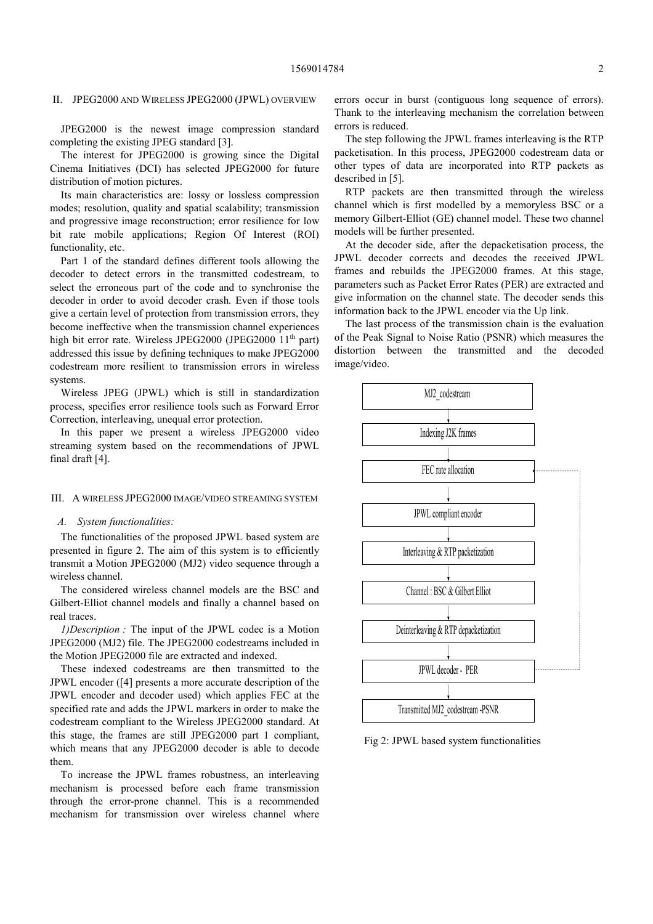## II. JPEG2000 AND WIRELESS JPEG2000 (JPWL) OVERVIEW

JPEG2000 is the newest image compression standard completing the existing JPEG standard [3].

The interest for JPEG2000 is growing since the Digital Cinema Initiatives (DCI) has selected JPEG2000 for future distribution of motion pictures.

Its main characteristics are: lossy or lossless compression modes; resolution, quality and spatial scalability; transmission and progressive image reconstruction; error resilience for low bit rate mobile applications; Region Of Interest (ROI) functionality, etc.

Part 1 of the standard defines different tools allowing the decoder to detect errors in the transmitted codestream, to select the erroneous part of the code and to synchronise the decoder in order to avoid decoder crash. Even if those tools give a certain level of protection from transmission errors, they become ineffective when the transmission channel experiences high bit error rate. Wireless JPEG2000 (JPEG2000  $11<sup>th</sup>$  part) addressed this issue by defining techniques to make JPEG2000 codestream more resilient to transmission errors in wireless systems.

Wireless JPEG (JPWL) which is still in standardization process, specifies error resilience tools such as Forward Error Correction, interleaving, unequal error protection.

In this paper we present a wireless JPEG2000 video streaming system based on the recommendations of JPWL final draft [4].

## III. A WIRELESS JPEG2000 IMAGE/VIDEO STREAMING SYSTEM

## A. System functionalities:

The functionalities of the proposed JPWL based system are presented in figure 2. The aim of this system is to efficiently transmit a Motion JPEG2000 (MJ2) video sequence through a wireless channel.

The considered wireless channel models are the BSC and Gilbert-Elliot channel models and finally a channel based on real traces.

1)Description : The input of the JPWL codec is a Motion JPEG2000 (MJ2) file. The JPEG2000 codestreams included in the Motion JPEG2000 file are extracted and indexed.

These indexed codestreams are then transmitted to the JPWL encoder ([4] presents a more accurate description of the JPWL encoder and decoder used) which applies FEC at the specified rate and adds the JPWL markers in order to make the codestream compliant to the Wireless JPEG2000 standard. At this stage, the frames are still JPEG2000 part 1 compliant, which means that any JPEG2000 decoder is able to decode them.

To increase the JPWL frames robustness, an interleaving mechanism is processed before each frame transmission through the error-prone channel. This is a recommended mechanism for transmission over wireless channel where

errors occur in burst (contiguous long sequence of errors). Thank to the interleaving mechanism the correlation between errors is reduced.

The step following the JPWL frames interleaving is the RTP packetisation. In this process, JPEG2000 codestream data or other types of data are incorporated into RTP packets as described in [5].

RTP packets are then transmitted through the wireless channel which is first modelled by a memoryless BSC or a memory Gilbert-Elliot (GE) channel model. These two channel models will be further presented.

At the decoder side, after the depacketisation process, the JPWL decoder corrects and decodes the received JPWL frames and rebuilds the JPEG2000 frames. At this stage, parameters such as Packet Error Rates (PER) are extracted and give information on the channel state. The decoder sends this information back to the JPWL encoder via the Up link.

The last process of the transmission chain is the evaluation of the Peak Signal to Noise Ratio (PSNR) which measures the distortion between the transmitted and the decoded image/video.



Fig 2: JPWL based system functionalities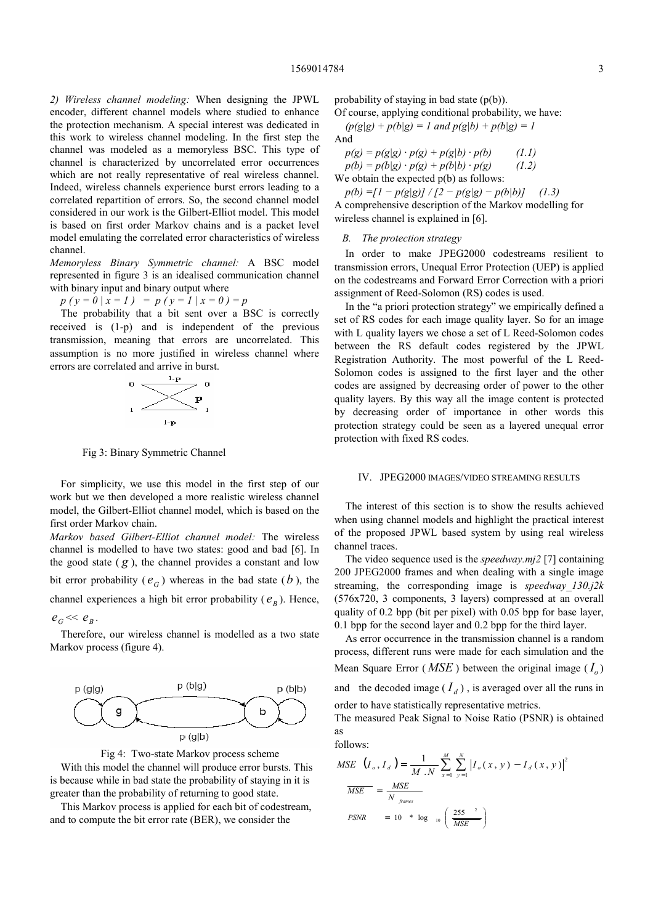2) Wireless channel modeling: When designing the JPWL encoder, different channel models where studied to enhance the protection mechanism. A special interest was dedicated in this work to wireless channel modeling. In the first step the channel was modeled as a memoryless BSC. This type of channel is characterized by uncorrelated error occurrences which are not really representative of real wireless channel. Indeed, wireless channels experience burst errors leading to a correlated repartition of errors. So, the second channel model considered in our work is the Gilbert-Elliot model. This model is based on first order Markov chains and is a packet level model emulating the correlated error characteristics of wireless channel.

Memoryless Binary Symmetric channel: A BSC model represented in figure 3 is an idealised communication channel with binary input and binary output where

 $p(y = 0 | x = 1) = p(y = 1 | x = 0) = p$ 

The probability that a bit sent over a BSC is correctly received is (1-p) and is independent of the previous transmission, meaning that errors are uncorrelated. This assumption is no more justified in wireless channel where errors are correlated and arrive in burst.



Fig 3: Binary Symmetric Channel

For simplicity, we use this model in the first step of our work but we then developed a more realistic wireless channel model, the Gilbert-Elliot channel model, which is based on the first order Markov chain.

Markov based Gilbert-Elliot channel model: The wireless channel is modelled to have two states: good and bad [6]. In the good state  $(g)$ , the channel provides a constant and low bit error probability ( $e_G$ ) whereas in the bad state ( $b$ ), the channel experiences a high bit error probability ( $e_B$ ). Hence,

 $e_G \ll e_B$ .

Therefore, our wireless channel is modelled as a two state Markov process (figure 4).





With this model the channel will produce error bursts. This is because while in bad state the probability of staying in it is greater than the probability of returning to good state.

This Markov process is applied for each bit of codestream, and to compute the bit error rate (BER), we consider the

probability of staying in bad state (p(b)).

Of course, applying conditional probability, we have:

 $(p(g|g) + p(b|g) = 1$  and  $p(g|b) + p(b|g) = 1$ And

 $p(g) = p(g|g) \cdot p(g) + p(g|b) \cdot p(b)$  (1.1)  $p(b) = p(b|g) \cdot p(g) + p(b|b) \cdot p(g)$  (1.2)

We obtain the expected  $p(b)$  as follows:

 $p(b) = [1 - p(g|g)] / [2 - p(g|g) - p(b|b)]$  (1.3) A comprehensive description of the Markov modelling for wireless channel is explained in [6].

B. The protection strategy

In order to make JPEG2000 codestreams resilient to transmission errors, Unequal Error Protection (UEP) is applied on the codestreams and Forward Error Correction with a priori assignment of Reed-Solomon (RS) codes is used.

In the "a priori protection strategy" we empirically defined a set of RS codes for each image quality layer. So for an image with L quality layers we chose a set of L Reed-Solomon codes between the RS default codes registered by the JPWL Registration Authority. The most powerful of the L Reed-Solomon codes is assigned to the first layer and the other codes are assigned by decreasing order of power to the other quality layers. By this way all the image content is protected by decreasing order of importance in other words this protection strategy could be seen as a layered unequal error protection with fixed RS codes.

## IV. JPEG2000 IMAGES/VIDEO STREAMING RESULTS

The interest of this section is to show the results achieved when using channel models and highlight the practical interest of the proposed JPWL based system by using real wireless channel traces.

The video sequence used is the *speedway.mi2* [7] containing 200 JPEG2000 frames and when dealing with a single image streaming, the corresponding image is speedway  $130j2k$ (576x720, 3 components, 3 layers) compressed at an overall quality of 0.2 bpp (bit per pixel) with 0.05 bpp for base layer, 0.1 bpp for the second layer and 0.2 bpp for the third layer.

As error occurrence in the transmission channel is a random process, different runs were made for each simulation and the Mean Square Error (*MSE*) between the original image ( $I_o$ ) and the decoded image  $(I_d)$ , is averaged over all the runs in

order to have statistically representative metrics.

The measured Peak Signal to Noise Ratio (PSNR) is obtained as

follows:

$$
MSE \t(I_o, I_d) = \frac{1}{M \tN} \sum_{x=1}^{M} \sum_{y=1}^{N} |I_o(x, y) - I_d(x, y)|^2
$$
  

$$
\frac{MSE}{MSE} = \frac{MSE}{N \t f_{\text{parameters}}}
$$
  

$$
PSNR = 10 * \log_{10} \left( \frac{255^{-2}}{MSE} \right)
$$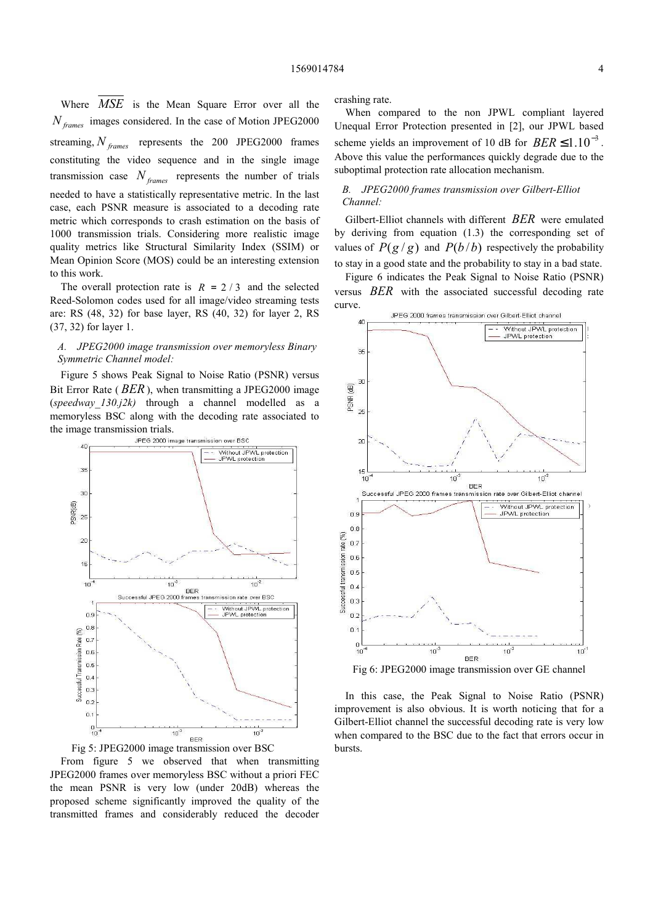Where *MSE* is the Mean Square Error over all the  $N<sub>frames</sub>$  images considered. In the case of Motion JPEG2000 streaming,  $N_{frames}$  represents the 200 JPEG2000 frames constituting the video sequence and in the single image transmission case  $N_{\text{frames}}$  represents the number of trials needed to have a statistically representative metric. In the last case, each PSNR measure is associated to a decoding rate metric which corresponds to crash estimation on the basis of 1000 transmission trials. Considering more realistic image quality metrics like Structural Similarity Index (SSIM) or Mean Opinion Score (MOS) could be an interesting extension to this work.

The overall protection rate is  $R = 2/3$  and the selected Reed-Solomon codes used for all image/video streaming tests are: RS (48, 32) for base layer, RS (40, 32) for layer 2, RS (37, 32) for layer 1.

## A. JPEG2000 image transmission over memoryless Binary Symmetric Channel model:

Figure 5 shows Peak Signal to Noise Ratio (PSNR) versus Bit Error Rate ( $BER$ ), when transmitting a JPEG2000 image (speedway  $130$ , $i2k$ ) through a channel modelled as a memoryless BSC along with the decoding rate associated to the image transmission trials.<br>JPEG 2000 image transmission over BSC





From figure 5 we observed that when transmitting JPEG2000 frames over memoryless BSC without a priori FEC the mean PSNR is very low (under 20dB) whereas the proposed scheme significantly improved the quality of the transmitted frames and considerably reduced the decoder crashing rate.

When compared to the non JPWL compliant layered Unequal Error Protection presented in [2], our JPWL based scheme yields an improvement of 10 dB for  $BER \leq 1.10^{-3}$ . Above this value the performances quickly degrade due to the suboptimal protection rate allocation mechanism.

# B. JPEG2000 frames transmission over Gilbert-Elliot Channel:

Gilbert-Elliot channels with different BER were emulated by deriving from equation (1.3) the corresponding set of values of  $P(g/g)$  and  $P(b/b)$  respectively the probability to stay in a good state and the probability to stay in a bad state.

Figure 6 indicates the Peak Signal to Noise Ratio (PSNR) versus BER with the associated successful decoding rate curve.



Fig 6: JPEG2000 image transmission over GE channel

In this case, the Peak Signal to Noise Ratio (PSNR) improvement is also obvious. It is worth noticing that for a Gilbert-Elliot channel the successful decoding rate is very low when compared to the BSC due to the fact that errors occur in bursts.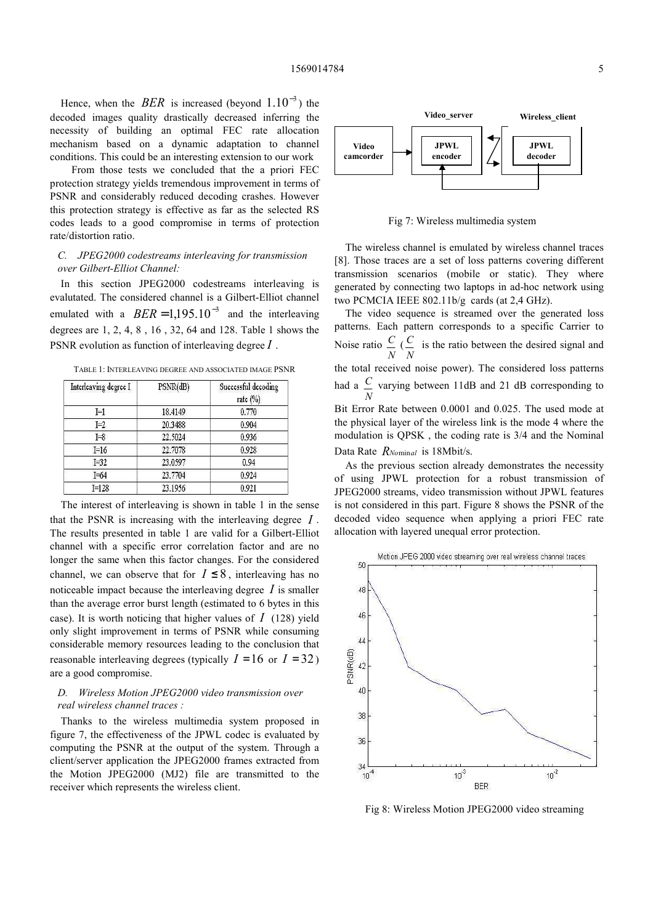Hence, when the *BER* is increased (beyond  $1.10^{-3}$ ) the decoded images quality drastically decreased inferring the necessity of building an optimal FEC rate allocation mechanism based on a dynamic adaptation to channel conditions. This could be an interesting extension to our work

 From those tests we concluded that the a priori FEC protection strategy yields tremendous improvement in terms of PSNR and considerably reduced decoding crashes. However this protection strategy is effective as far as the selected RS codes leads to a good compromise in terms of protection rate/distortion ratio.

## C. JPEG2000 codestreams interleaving for transmission over Gilbert-Elliot Channel:

In this section JPEG2000 codestreams interleaving is evalutated. The considered channel is a Gilbert-Elliot channel emulated with a  $BER = 1,195.10^{-3}$  and the interleaving degrees are 1, 2, 4, 8 , 16 , 32, 64 and 128. Table 1 shows the PSNR evolution as function of interleaving degree  $I$ .

TABLE 1: INTERLEAVING DEGREE AND ASSOCIATED IMAGE PSNR

| Interleaving degree I | PSNR(dB) | Successful decoding<br>rate $(\%)$ |
|-----------------------|----------|------------------------------------|
| ΙĦ                    | 18.4149  | 0.770                              |
| $I=2$                 | 20.3488  | 0.904                              |
| $I = 8$               | 22.5024  | 0.936                              |
| $I=16$                | 22.7078  | 0.928                              |
| $I=32$                | 23.0597  | 0.94                               |
| $I = 64$              | 23.7704  | 0.924                              |
| $I = 128$             | 23.1956  | 0.921                              |

The interest of interleaving is shown in table 1 in the sense that the PSNR is increasing with the interleaving degree  $I$ . The results presented in table 1 are valid for a Gilbert-Elliot channel with a specific error correlation factor and are no longer the same when this factor changes. For the considered channel, we can observe that for  $I \leq 8$ , interleaving has no noticeable impact because the interleaving degree  $I$  is smaller than the average error burst length (estimated to 6 bytes in this case). It is worth noticing that higher values of  $I(128)$  yield only slight improvement in terms of PSNR while consuming considerable memory resources leading to the conclusion that reasonable interleaving degrees (typically  $I = 16$  or  $I = 32$ ) are a good compromise.

# D. Wireless Motion JPEG2000 video transmission over real wireless channel traces :

Thanks to the wireless multimedia system proposed in figure 7, the effectiveness of the JPWL codec is evaluated by computing the PSNR at the output of the system. Through a client/server application the JPEG2000 frames extracted from the Motion JPEG2000 (MJ2) file are transmitted to the receiver which represents the wireless client.



Fig 7: Wireless multimedia system

The wireless channel is emulated by wireless channel traces [8]. Those traces are a set of loss patterns covering different transmission scenarios (mobile or static). They where generated by connecting two laptops in ad-hoc network using two PCMCIA IEEE 802.11b/g cards (at 2,4 GHz).

The video sequence is streamed over the generated loss patterns. Each pattern corresponds to a specific Carrier to Noise ratio N  $\stackrel{C}{=}$  ( N  $\frac{C}{C}$  is the ratio between the desired signal and the total received noise power). The considered loss patterns had a N  $\frac{C}{C}$  varying between 11dB and 21 dB corresponding to Bit Error Rate between 0.0001 and 0.025. The used mode at the physical layer of the wireless link is the mode 4 where the modulation is QPSK , the coding rate is 3/4 and the Nominal Data Rate  $R_{\text{Nominal}}$  is 18Mbit/s.

As the previous section already demonstrates the necessity of using JPWL protection for a robust transmission of JPEG2000 streams, video transmission without JPWL features is not considered in this part. Figure 8 shows the PSNR of the decoded video sequence when applying a priori FEC rate allocation with layered unequal error protection.



Fig 8: Wireless Motion JPEG2000 video streaming